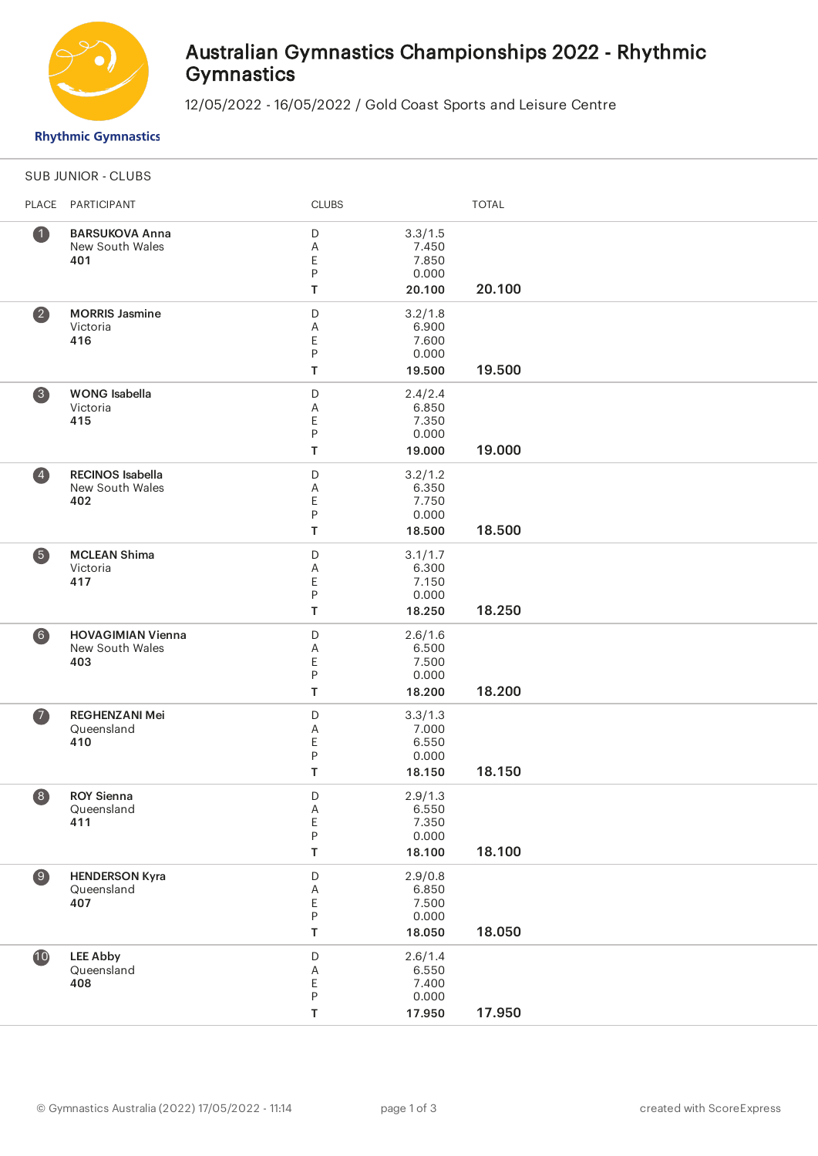

## Australian Gymnastics Championships 2022 - Rhythmic **Gymnastics**

12/05/2022 - 16/05/2022 / Gold Coast Sports and Leisure Centre

**Rhythmic Gymnastics** 

|                         | <b>SUB JUNIOR - CLUBS</b> |              |                  |              |  |  |
|-------------------------|---------------------------|--------------|------------------|--------------|--|--|
| PLACE                   | PARTICIPANT               | <b>CLUBS</b> |                  | <b>TOTAL</b> |  |  |
| $\bullet$               | <b>BARSUKOVA Anna</b>     | D            | 3.3/1.5          |              |  |  |
|                         | New South Wales           | Α            | 7.450            |              |  |  |
|                         | 401                       | Ε            | 7.850            |              |  |  |
|                         |                           | P            | 0.000            |              |  |  |
|                         |                           | T            | 20.100           | 20.100       |  |  |
| $\overline{\mathbf{2}}$ | <b>MORRIS Jasmine</b>     | D            | 3.2/1.8          |              |  |  |
|                         | Victoria                  | Α            | 6.900            |              |  |  |
|                         | 416                       | Ε            | 7.600<br>0.000   |              |  |  |
|                         |                           | ${\sf P}$    |                  | 19.500       |  |  |
|                         |                           | T            | 19.500           |              |  |  |
| 3                       | <b>WONG</b> Isabella      | $\mathsf D$  | 2.4/2.4          |              |  |  |
|                         | Victoria                  | Α            | 6.850            |              |  |  |
|                         | 415                       | Ε<br>P       | 7.350<br>0.000   |              |  |  |
|                         |                           |              |                  | 19.000       |  |  |
|                         |                           | T            | 19.000           |              |  |  |
| $\overline{4}$          | <b>RECINOS Isabella</b>   | D            | 3.2/1.2          |              |  |  |
|                         | New South Wales           | Α            | 6.350            |              |  |  |
|                         | 402                       | Ε<br>P       | 7.750<br>0.000   |              |  |  |
|                         |                           | T            | 18.500           | 18.500       |  |  |
|                         |                           |              |                  |              |  |  |
| 6                       | <b>MCLEAN Shima</b>       | $\mathsf D$  | 3.1/1.7          |              |  |  |
|                         | Victoria                  | Α            | 6.300            |              |  |  |
|                         | 417                       | Ε<br>P       | 7.150<br>0.000   |              |  |  |
|                         |                           | Т            | 18.250           | 18.250       |  |  |
|                         |                           |              |                  |              |  |  |
| $6$                     | <b>HOVAGIMIAN Vienna</b>  | D            | 2.6/1.6<br>6.500 |              |  |  |
|                         | New South Wales<br>403    | Α<br>Ε       | 7.500            |              |  |  |
|                         |                           | P            | 0.000            |              |  |  |
|                         |                           | T            | 18.200           | 18.200       |  |  |
| $\bullet$               | <b>REGHENZANI Mei</b>     | $\mathsf D$  | 3.3/1.3          |              |  |  |
|                         | Queensland                | Α            | 7.000            |              |  |  |
|                         | 410                       | Ε            | 6.550            |              |  |  |
|                         |                           | P            | 0.000            |              |  |  |
|                         |                           | T            | 18.150           | 18.150       |  |  |
| 8                       | <b>ROY Sienna</b>         | $\mathsf D$  | 2.9/1.3          |              |  |  |
|                         | Queensland                | $\mathsf A$  | 6.550            |              |  |  |
|                         | 411                       | $\mathsf E$  | 7.350            |              |  |  |
|                         |                           | ${\sf P}$    | 0.000            |              |  |  |
|                         |                           | $\mathsf T$  | 18.100           | 18.100       |  |  |
| $\circ$                 | <b>HENDERSON Kyra</b>     | $\mathsf D$  | 2.9/0.8          |              |  |  |
|                         | Queensland                | Α            | 6.850            |              |  |  |
|                         | 407                       | E            | 7.500            |              |  |  |
|                         |                           | ${\sf P}$    | 0.000            |              |  |  |
|                         |                           | $\mathsf T$  | 18.050           | 18.050       |  |  |
| 10                      | <b>LEE Abby</b>           | $\mathsf D$  | 2.6/1.4          |              |  |  |
|                         | Queensland                | Α            | 6.550            |              |  |  |
|                         | 408                       | E            | 7.400            |              |  |  |
|                         |                           | ${\sf P}$    | 0.000            |              |  |  |
|                         |                           | T            | 17.950           | 17.950       |  |  |
|                         |                           |              |                  |              |  |  |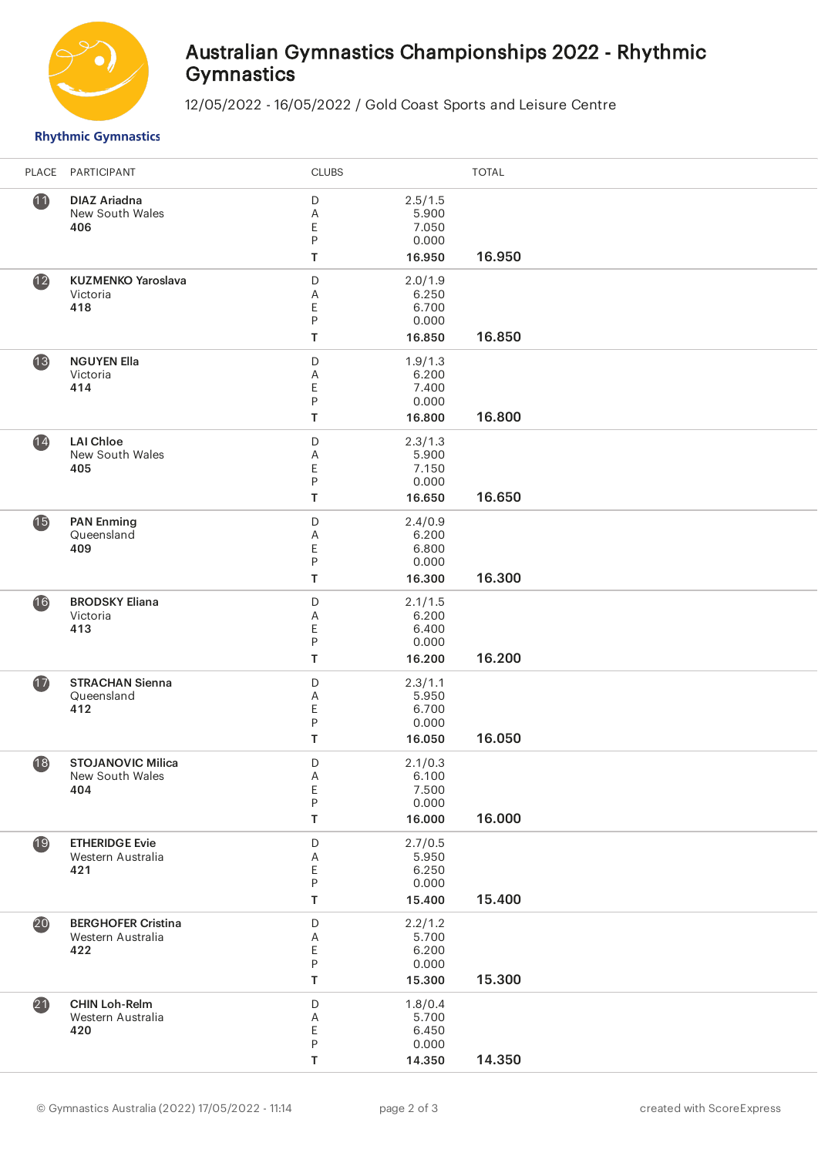

# Australian Gymnastics Championships 2022 - Rhythmic **Gymnastics**

12/05/2022 - 16/05/2022 / Gold Coast Sports and Leisure Centre

### **Rhythmic Gymnastics**

| PLACE           | PARTICIPANT                                           | <b>CLUBS</b>                    |                                              | <b>TOTAL</b> |
|-----------------|-------------------------------------------------------|---------------------------------|----------------------------------------------|--------------|
| $\mathbf{1}$    | <b>DIAZ Ariadna</b><br>New South Wales<br>406         | $\mathsf D$<br>Α<br>E<br>P<br>Т | 2.5/1.5<br>5.900<br>7.050<br>0.000<br>16.950 | 16.950       |
| $\mathbf{12}$   | <b>KUZMENKO Yaroslava</b><br>Victoria<br>418          | D<br>Α<br>E<br>P<br>T           | 2.0/1.9<br>6.250<br>6.700<br>0.000<br>16.850 | 16.850       |
| 13              | <b>NGUYEN Ella</b><br>Victoria<br>414                 | $\mathsf D$<br>A<br>E<br>P<br>Τ | 1.9/1.3<br>6.200<br>7.400<br>0.000<br>16.800 | 16.800       |
| $\overline{14}$ | <b>LAI Chloe</b><br>New South Wales<br>405            | D<br>Α<br>E<br>P<br>Τ           | 2.3/1.3<br>5.900<br>7.150<br>0.000<br>16.650 | 16.650       |
| $\bullet$       | <b>PAN Enming</b><br>Queensland<br>409                | D<br>Α<br>E<br>P<br>T           | 2.4/0.9<br>6.200<br>6.800<br>0.000<br>16.300 | 16.300       |
| 16              | <b>BRODSKY Eliana</b><br>Victoria<br>413              | D<br>Α<br>E<br>P<br>T           | 2.1/1.5<br>6.200<br>6.400<br>0.000<br>16.200 | 16.200       |
| $\bf \Phi$      | <b>STRACHAN Sienna</b><br>Queensland<br>412           | $\mathsf D$<br>Α<br>E<br>P<br>Т | 2.3/1.1<br>5.950<br>6.700<br>0.000<br>16.050 | 16.050       |
| 18              | <b>STOJANOVIC Milica</b><br>New South Wales<br>404    | D<br>Α<br>E<br>P<br>Τ           | 2.1/0.3<br>6.100<br>7.500<br>0.000<br>16.000 | 16.000       |
| 19              | <b>ETHERIDGE Evie</b><br>Western Australia<br>421     | $\mathsf D$<br>Α<br>E<br>P<br>T | 2.7/0.5<br>5.950<br>6.250<br>0.000<br>15.400 | 15.400       |
| 20              | <b>BERGHOFER Cristina</b><br>Western Australia<br>422 | $\mathsf D$<br>Α<br>E<br>P<br>T | 2.2/1.2<br>5.700<br>6.200<br>0.000<br>15.300 | 15.300       |
| 21              | <b>CHIN Loh-Relm</b><br>Western Australia<br>420      | $\mathsf D$<br>A<br>E<br>P<br>Τ | 1.8/0.4<br>5.700<br>6.450<br>0.000<br>14.350 | 14.350       |